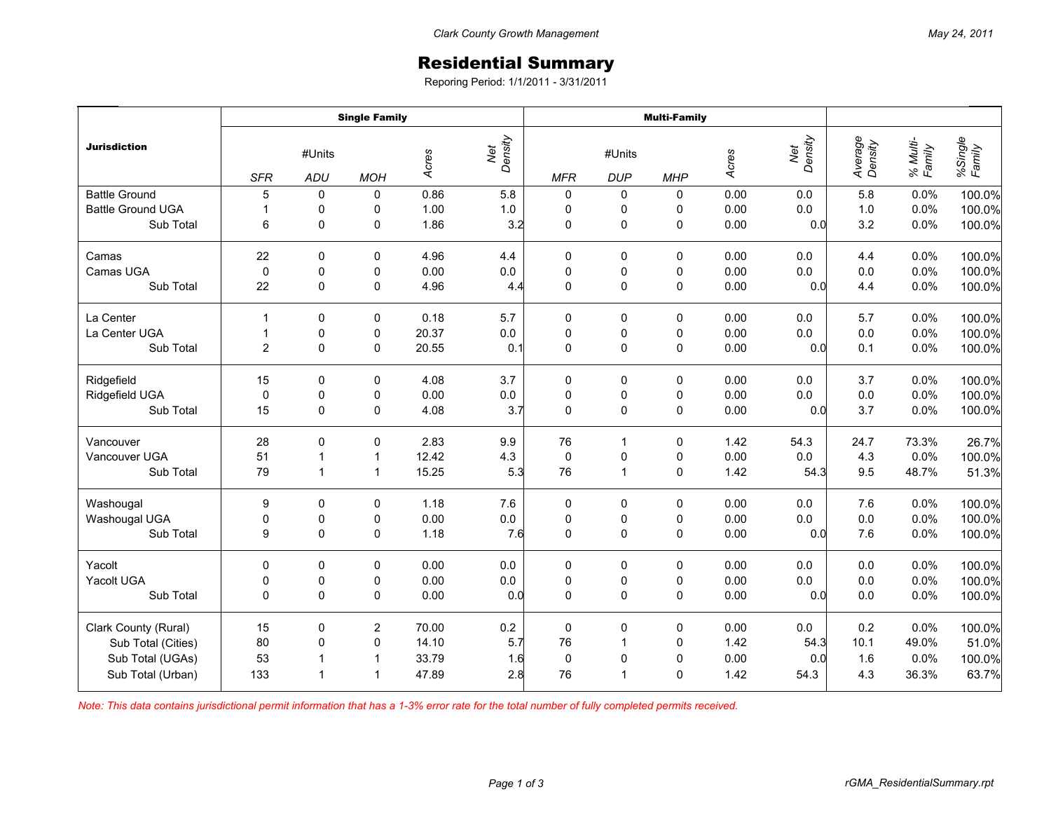## Residential Summary

Reporing Period: 1/1/2011 - 3/31/2011

|                          | <b>Single Family</b> |                |                |       |                | <b>Multi-Family</b> |                      |             |       |                |                    |                    |                   |
|--------------------------|----------------------|----------------|----------------|-------|----------------|---------------------|----------------------|-------------|-------|----------------|--------------------|--------------------|-------------------|
| <b>Jurisdiction</b>      | <b>SFR</b>           | #Units<br>ADU  | <b>MOH</b>     | Acres | Net<br>Density | <b>MFR</b>          | #Units<br><b>DUP</b> | <b>MHP</b>  | Acres | Net<br>Density | Average<br>Density | % Multi-<br>Family | %Single<br>Family |
| <b>Battle Ground</b>     | 5                    | 0              | 0              | 0.86  | 5.8            | 0                   | 0                    | 0           | 0.00  | 0.0            | 5.8                | 0.0%               | 100.0%            |
| <b>Battle Ground UGA</b> | $\mathbf{1}$         | 0              | 0              | 1.00  | $1.0\,$        | 0                   | 0                    | 0           | 0.00  | 0.0            | $1.0$              | 0.0%               | 100.0%            |
| Sub Total                | 6                    | 0              | 0              | 1.86  | 3.2            | $\mathbf 0$         | $\mathsf{O}\xspace$  | $\pmb{0}$   | 0.00  | 0.0            | 3.2                | 0.0%               | 100.0%            |
| Camas                    | 22                   | 0              | 0              | 4.96  | 4.4            | 0                   | 0                    | 0           | 0.00  | 0.0            | 4.4                | 0.0%               | 100.0%            |
| Camas UGA                | $\mathbf 0$          | 0              | 0              | 0.00  | $0.0\,$        | $\pmb{0}$           | 0                    | 0           | 0.00  | 0.0            | 0.0                | 0.0%               | 100.0%            |
| Sub Total                | 22                   | $\Omega$       | 0              | 4.96  | 4.4            | $\mathbf 0$         | $\pmb{0}$            | $\mathbf 0$ | 0.00  | 0.0            | 4.4                | 0.0%               | 100.0%            |
| La Center                | $\mathbf{1}$         | 0              | 0              | 0.18  | 5.7            | 0                   | 0                    | 0           | 0.00  | 0.0            | 5.7                | 0.0%               | 100.0%            |
| La Center UGA            | $\mathbf{1}$         | 0              | 0              | 20.37 | 0.0            | $\pmb{0}$           | $\pmb{0}$            | $\pmb{0}$   | 0.00  | 0.0            | 0.0                | 0.0%               | 100.0%            |
| Sub Total                | 2                    | $\mathbf 0$    | 0              | 20.55 | 0.1            | $\mathbf 0$         | $\pmb{0}$            | $\pmb{0}$   | 0.00  | 0.0            | 0.1                | 0.0%               | 100.0%            |
| Ridgefield               | 15                   | 0              | 0              | 4.08  | 3.7            | 0                   | 0                    | 0           | 0.00  | 0.0            | 3.7                | 0.0%               | 100.0%            |
| Ridgefield UGA           | 0                    | 0              | 0              | 0.00  | $0.0\,$        | $\pmb{0}$           | 0                    | 0           | 0.00  | 0.0            | $0.0\,$            | 0.0%               | 100.0%            |
| Sub Total                | 15                   | 0              | 0              | 4.08  | 3.7            | $\mathbf 0$         | $\mathsf{O}\xspace$  | $\pmb{0}$   | 0.00  | 0.0            | 3.7                | 0.0%               | 100.0%            |
| Vancouver                | 28                   | 0              | 0              | 2.83  | 9.9            | 76                  | 1                    | 0           | 1.42  | 54.3           | 24.7               | 73.3%              | 26.7%             |
| Vancouver UGA            | 51                   | $\overline{1}$ | $\mathbf{1}$   | 12.42 | 4.3            | $\pmb{0}$           | $\pmb{0}$            | 0           | 0.00  | $0.0\,$        | 4.3                | 0.0%               | 100.0%            |
| Sub Total                | 79                   | $\mathbf{1}$   | $\mathbf{1}$   | 15.25 | 5.3            | 76                  | $\mathbf{1}$         | $\mathbf 0$ | 1.42  | 54.3           | 9.5                | 48.7%              | 51.3%             |
| Washougal                | 9                    | $\Omega$       | 0              | 1.18  | 7.6            | 0                   | 0                    | 0           | 0.00  | 0.0            | 7.6                | 0.0%               | 100.0%            |
| Washougal UGA            | 0                    | 0              | 0              | 0.00  | $0.0\,$        | $\pmb{0}$           | $\pmb{0}$            | $\pmb{0}$   | 0.00  | $0.0\,$        | $0.0\,$            | 0.0%               | 100.0%            |
| Sub Total                | 9                    | 0              | 0              | 1.18  | 7.6            | $\mathbf 0$         | $\mathsf{O}\xspace$  | $\pmb{0}$   | 0.00  | 0.0            | 7.6                | 0.0%               | 100.0%            |
| Yacolt                   | $\Omega$             | 0              | 0              | 0.00  | 0.0            | 0                   | 0                    | 0           | 0.00  | 0.0            | 0.0                | 0.0%               | 100.0%            |
| Yacolt UGA               | 0                    | 0              | 0              | 0.00  | $0.0\,$        | $\pmb{0}$           | $\pmb{0}$            | 0           | 0.00  | 0.0            | $0.0\,$            | 0.0%               | 100.0%            |
| Sub Total                | $\Omega$             | $\Omega$       | 0              | 0.00  | 0.0            | $\Omega$            | $\mathbf 0$          | $\mathbf 0$ | 0.00  | 0.0            | 0.0                | 0.0%               | 100.0%            |
| Clark County (Rural)     | 15                   | 0              | $\overline{c}$ | 70.00 | $0.2\,$        | $\pmb{0}$           | $\pmb{0}$            | $\pmb{0}$   | 0.00  | $0.0\,$        | 0.2                | 0.0%               | 100.0%            |
| Sub Total (Cities)       | 80                   | 0              | 0              | 14.10 | 5.7            | 76                  | $\mathbf{1}$         | $\pmb{0}$   | 1.42  | 54.3           | 10.1               | 49.0%              | 51.0%             |
| Sub Total (UGAs)         | 53                   | $\overline{1}$ | $\mathbf{1}$   | 33.79 | 1.6            | $\mathbf 0$         | $\pmb{0}$            | $\mathbf 0$ | 0.00  | 0.0            | 1.6                | 0.0%               | 100.0%            |
| Sub Total (Urban)        | 133                  | $\overline{1}$ | $\mathbf{1}$   | 47.89 | 2.8            | 76                  | $\mathbf{1}$         | 0           | 1.42  | 54.3           | 4.3                | 36.3%              | 63.7%             |

*Note: This data contains jurisdictional permit information that has a 1-3% error rate for the total number of fully completed permits received.*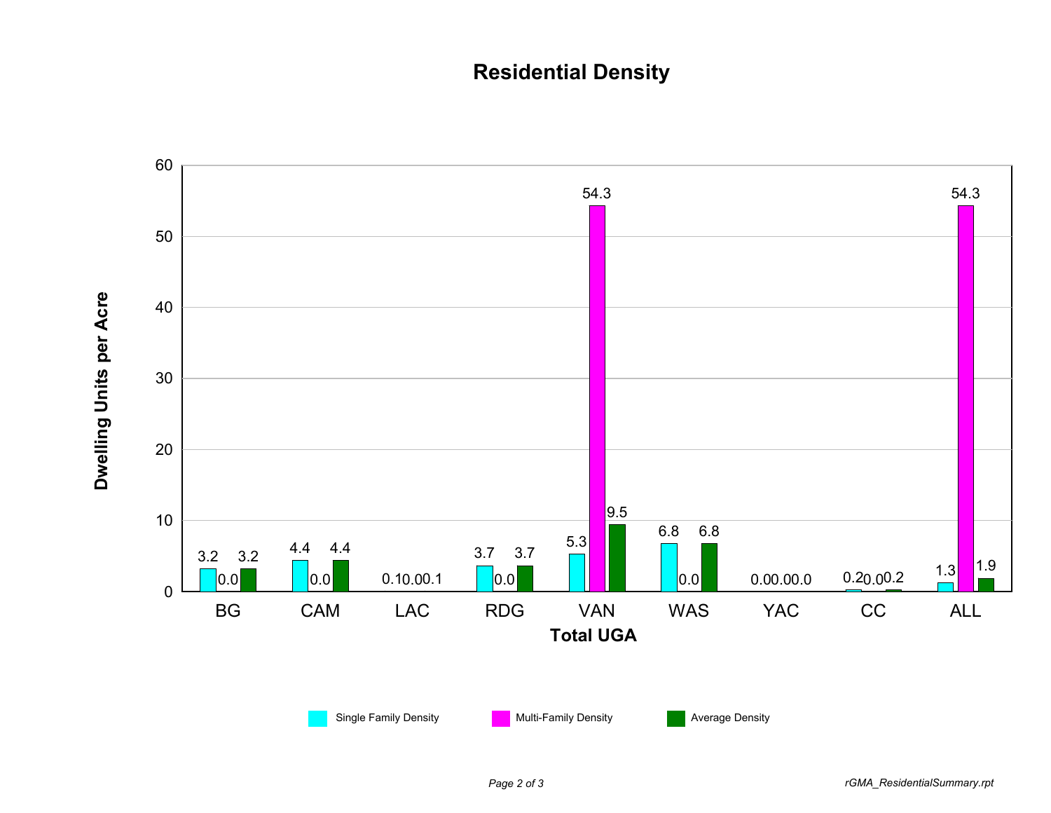## **Residential Density**